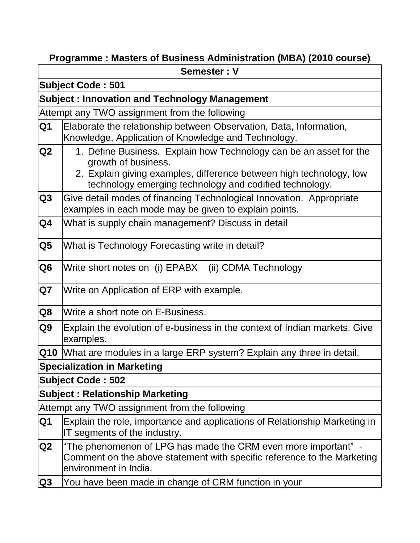# **Programme : Masters of Business Administration (MBA) (2010 course)**

|                           | Semester: V                                                                                                                                                                                                                 |  |  |  |  |
|---------------------------|-----------------------------------------------------------------------------------------------------------------------------------------------------------------------------------------------------------------------------|--|--|--|--|
|                           | <b>Subject Code: 501</b>                                                                                                                                                                                                    |  |  |  |  |
|                           | <b>Subject: Innovation and Technology Management</b>                                                                                                                                                                        |  |  |  |  |
|                           | Attempt any TWO assignment from the following                                                                                                                                                                               |  |  |  |  |
| Q1                        | Elaborate the relationship between Observation, Data, Information,<br>Knowledge, Application of Knowledge and Technology.                                                                                                   |  |  |  |  |
| Q2                        | 1. Define Business. Explain how Technology can be an asset for the<br>growth of business.<br>2. Explain giving examples, difference between high technology, low<br>technology emerging technology and codified technology. |  |  |  |  |
| Q <sub>3</sub>            | Give detail modes of financing Technological Innovation. Appropriate<br>examples in each mode may be given to explain points.                                                                                               |  |  |  |  |
| $\overline{\mathsf{Q}}$ 4 | What is supply chain management? Discuss in detail                                                                                                                                                                          |  |  |  |  |
| Q5                        | What is Technology Forecasting write in detail?                                                                                                                                                                             |  |  |  |  |
| Q6                        | Write short notes on (i) EPABX (ii) CDMA Technology                                                                                                                                                                         |  |  |  |  |
| Q7                        | Write on Application of ERP with example.                                                                                                                                                                                   |  |  |  |  |
| Q8                        | Write a short note on E-Business.                                                                                                                                                                                           |  |  |  |  |
| Q <sub>9</sub>            | Explain the evolution of e-business in the context of Indian markets. Give<br>examples.                                                                                                                                     |  |  |  |  |
|                           | <b>Q10</b> What are modules in a large ERP system? Explain any three in detail.                                                                                                                                             |  |  |  |  |
|                           | <b>Specialization in Marketing</b>                                                                                                                                                                                          |  |  |  |  |
|                           | <b>Subject Code: 502</b>                                                                                                                                                                                                    |  |  |  |  |
|                           | <b>Subject: Relationship Marketing</b>                                                                                                                                                                                      |  |  |  |  |
|                           | Attempt any TWO assignment from the following                                                                                                                                                                               |  |  |  |  |
| Q1                        | Explain the role, importance and applications of Relationship Marketing in<br>IT segments of the industry.                                                                                                                  |  |  |  |  |
| Q2                        | "The phenomenon of LPG has made the CRM even more important" -<br>Comment on the above statement with specific reference to the Marketing<br>environment in India.                                                          |  |  |  |  |
| Q3                        | You have been made in change of CRM function in your                                                                                                                                                                        |  |  |  |  |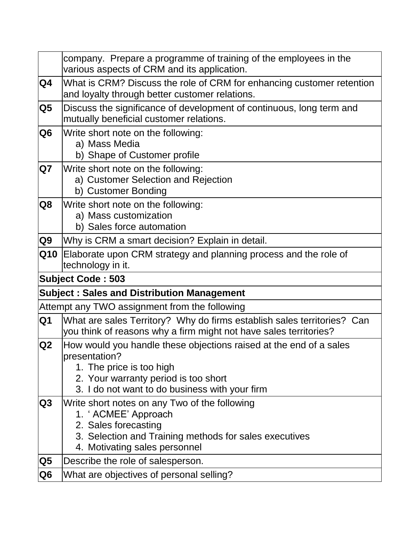|                | company. Prepare a programme of training of the employees in the<br>various aspects of CRM and its application.                                                                                           |
|----------------|-----------------------------------------------------------------------------------------------------------------------------------------------------------------------------------------------------------|
| Q4             | What is CRM? Discuss the role of CRM for enhancing customer retention<br>and loyalty through better customer relations.                                                                                   |
| Q <sub>5</sub> | Discuss the significance of development of continuous, long term and<br>mutually beneficial customer relations.                                                                                           |
| Q <sub>6</sub> | Write short note on the following:<br>a) Mass Media<br>b) Shape of Customer profile                                                                                                                       |
| Q7             | Write short note on the following:<br>a) Customer Selection and Rejection<br>b) Customer Bonding                                                                                                          |
| Q8             | Write short note on the following:<br>a) Mass customization<br>b) Sales force automation                                                                                                                  |
| Q9             | Why is CRM a smart decision? Explain in detail.                                                                                                                                                           |
| Q10            | Elaborate upon CRM strategy and planning process and the role of<br>technology in it.                                                                                                                     |
|                | <b>Subject Code: 503</b>                                                                                                                                                                                  |
|                | <b>Subject: Sales and Distribution Management</b>                                                                                                                                                         |
|                | Attempt any TWO assignment from the following                                                                                                                                                             |
| Q1             | What are sales Territory? Why do firms establish sales territories? Can<br>you think of reasons why a firm might not have sales territories?                                                              |
| Q2             | How would you handle these objections raised at the end of a sales<br>presentation?<br>1. The price is too high<br>2. Your warranty period is too short<br>3. I do not want to do business with your firm |
| Q3             | Write short notes on any Two of the following<br>1. 'ACMEE' Approach<br>2. Sales forecasting<br>3. Selection and Training methods for sales executives<br>4. Motivating sales personnel                   |
| Q5             | Describe the role of salesperson.                                                                                                                                                                         |
| Q <sub>6</sub> | What are objectives of personal selling?                                                                                                                                                                  |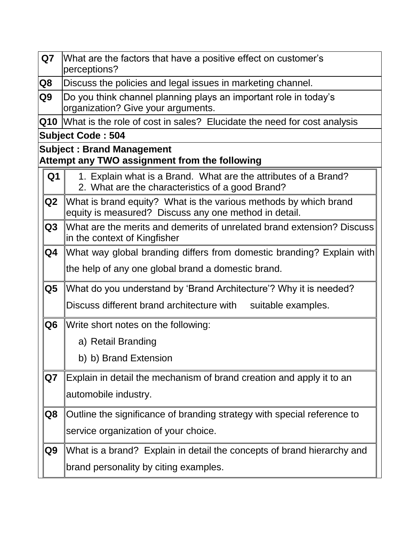| Q7                         | What are the factors that have a positive effect on customer's<br>perceptions?                                            |
|----------------------------|---------------------------------------------------------------------------------------------------------------------------|
| Q8                         | Discuss the policies and legal issues in marketing channel.                                                               |
| Q <sub>9</sub>             | Do you think channel planning plays an important role in today's<br>organization? Give your arguments.                    |
| $\overline{\mathbf{Q}}$ 10 | What is the role of cost in sales? Elucidate the need for cost analysis                                                   |
|                            | <b>Subject Code: 504</b>                                                                                                  |
|                            | <b>Subject: Brand Management</b><br>Attempt any TWO assignment from the following                                         |
| Q <sub>1</sub>             | 1. Explain what is a Brand. What are the attributes of a Brand?<br>2. What are the characteristics of a good Brand?       |
| Q2                         | What is brand equity? What is the various methods by which brand<br>equity is measured? Discuss any one method in detail. |
| Q3                         | What are the merits and demerits of unrelated brand extension? Discuss<br>in the context of Kingfisher                    |
| Q4                         | What way global branding differs from domestic branding? Explain with                                                     |
|                            | the help of any one global brand a domestic brand.                                                                        |
| Q5                         | What do you understand by 'Brand Architecture'? Why it is needed?                                                         |
|                            | Discuss different brand architecture with suitable examples.                                                              |
| Q <sub>6</sub>             | Write short notes on the following:                                                                                       |
|                            | a) Retail Branding                                                                                                        |
|                            | b) b) Brand Extension                                                                                                     |
| Q7                         | Explain in detail the mechanism of brand creation and apply it to an                                                      |
|                            | automobile industry.                                                                                                      |
| Q8                         | Outline the significance of branding strategy with special reference to                                                   |
|                            | service organization of your choice.                                                                                      |
| Q9                         | What is a brand? Explain in detail the concepts of brand hierarchy and                                                    |
|                            | brand personality by citing examples.                                                                                     |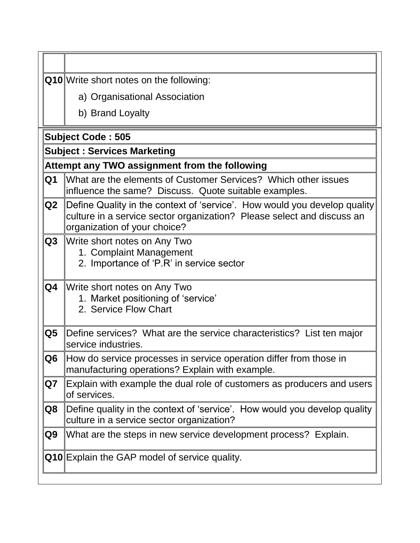|  |  |  |  |  |  |  | Q10 Write short notes on the following: |  |
|--|--|--|--|--|--|--|-----------------------------------------|--|
|--|--|--|--|--|--|--|-----------------------------------------|--|

a) Organisational Association

b) Brand Loyalty

#### **Subject Code : 505**

#### **Subject : Services Marketing**

#### **Attempt any TWO assignment from the following**

- **Q1** What are the elements of Customer Services? Which other issues influence the same? Discuss. Quote suitable examples.
- **Q2** Define Quality in the context of 'service'. How would you develop quality culture in a service sector organization? Please select and discuss an organization of your choice?
- **Q3** Write short notes on Any Two
	- 1. Complaint Management
	- 2. Importance of "P.R" in service sector

### **Q4** Write short notes on Any Two 1. Market positioning of "service"

- 
- 2. Service Flow Chart
- **Q5** Define services? What are the service characteristics? List ten major service industries.

## **Q6** How do service processes in service operation differ from those in manufacturing operations? Explain with example.

- **Q7** Explain with example the dual role of customers as producers and users of services.
- **Q8** Define quality in the context of 'service'. How would you develop quality culture in a service sector organization?
- **Q9** What are the steps in new service development process? Explain.

**Q10** Explain the GAP model of service quality.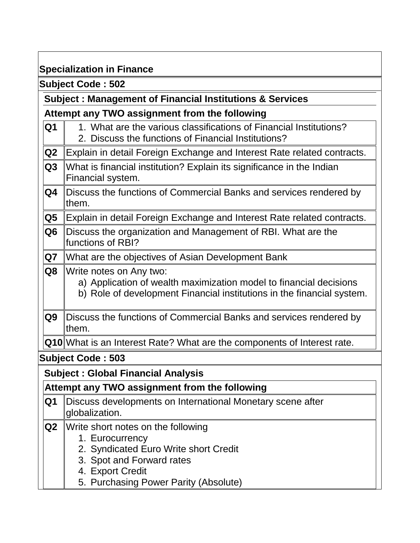# **Specialization in Finance**

**Subject Code : 502**

# **Subject : Management of Financial Institutions & Services**

# **Attempt any TWO assignment from the following**

| Q <sub>1</sub> | 1. What are the various classifications of Financial Institutions?<br>2. Discuss the functions of Financial Institutions?                                               |
|----------------|-------------------------------------------------------------------------------------------------------------------------------------------------------------------------|
| Q2             | Explain in detail Foreign Exchange and Interest Rate related contracts.                                                                                                 |
| Q3             | What is financial institution? Explain its significance in the Indian<br>Financial system.                                                                              |
| Q4             | Discuss the functions of Commercial Banks and services rendered by<br>them.                                                                                             |
| Q5             | Explain in detail Foreign Exchange and Interest Rate related contracts.                                                                                                 |
| Q <sub>6</sub> | Discuss the organization and Management of RBI. What are the<br>functions of RBI?                                                                                       |
| Q7             | What are the objectives of Asian Development Bank                                                                                                                       |
| Q8             | Write notes on Any two:<br>a) Application of wealth maximization model to financial decisions<br>b) Role of development Financial institutions in the financial system. |
| Q <sub>9</sub> | Discuss the functions of Commercial Banks and services rendered by<br>them.                                                                                             |
|                | Q10 What is an Interest Rate? What are the components of Interest rate.                                                                                                 |
|                | <b>Subject Code: 503</b>                                                                                                                                                |
|                | <b>Subject: Global Financial Analysis</b>                                                                                                                               |
|                | Attempt any TWO assignment from the following                                                                                                                           |
| Q1             | Discuss developments on International Monetary scene after<br>globalization.                                                                                            |
| Q2             | Write short notes on the following<br>1. Eurocurrency<br>2. Syndicated Euro Write short Credit<br>3. Spot and Forward rates<br>4. Export Credit                         |
|                | 5. Purchasing Power Parity (Absolute)                                                                                                                                   |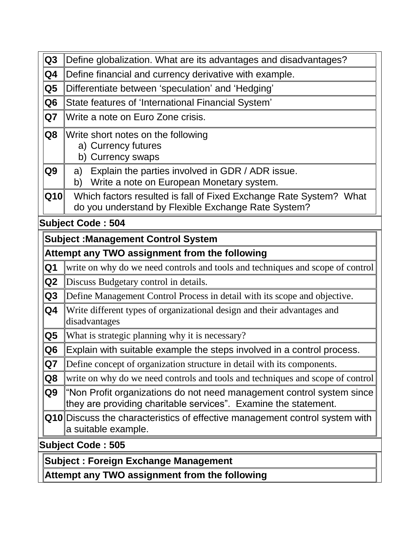| Q3                                          | Define globalization. What are its advantages and disadvantages?                                                                         |  |  |  |  |
|---------------------------------------------|------------------------------------------------------------------------------------------------------------------------------------------|--|--|--|--|
| Q4                                          | Define financial and currency derivative with example.                                                                                   |  |  |  |  |
| Q5                                          | Differentiate between 'speculation' and 'Hedging'                                                                                        |  |  |  |  |
| Q <sub>6</sub>                              | State features of 'International Financial System'                                                                                       |  |  |  |  |
| Q7                                          | Write a note on Euro Zone crisis.                                                                                                        |  |  |  |  |
| Q8                                          | Write short notes on the following<br>a) Currency futures<br>b) Currency swaps                                                           |  |  |  |  |
| Q9                                          | Explain the parties involved in GDR / ADR issue.<br>a)<br>Write a note on European Monetary system.<br>b)                                |  |  |  |  |
| Q10                                         | Which factors resulted is fall of Fixed Exchange Rate System? What<br>do you understand by Flexible Exchange Rate System?                |  |  |  |  |
|                                             | <b>Subject Code: 504</b>                                                                                                                 |  |  |  |  |
|                                             | <b>Subject: Management Control System</b>                                                                                                |  |  |  |  |
|                                             | Attempt any TWO assignment from the following                                                                                            |  |  |  |  |
| Q1                                          | write on why do we need controls and tools and techniques and scope of control                                                           |  |  |  |  |
| Q2                                          | Discuss Budgetary control in details.                                                                                                    |  |  |  |  |
| Q3                                          | Define Management Control Process in detail with its scope and objective.                                                                |  |  |  |  |
| Q4                                          | Write different types of organizational design and their advantages and<br>disadvantages                                                 |  |  |  |  |
| Q5                                          | What is strategic planning why it is necessary?                                                                                          |  |  |  |  |
| Q6                                          | Explain with suitable example the steps involved in a control process.                                                                   |  |  |  |  |
| Q7                                          | Define concept of organization structure in detail with its components.                                                                  |  |  |  |  |
| Q8                                          | write on why do we need controls and tools and techniques and scope of control                                                           |  |  |  |  |
| Q9                                          | "Non Profit organizations do not need management control system since<br>they are providing charitable services". Examine the statement. |  |  |  |  |
|                                             | Q10 Discuss the characteristics of effective management control system with<br>a suitable example.                                       |  |  |  |  |
| <b>Subject Code: 505</b>                    |                                                                                                                                          |  |  |  |  |
| <b>Subject: Foreign Exchange Management</b> |                                                                                                                                          |  |  |  |  |
|                                             | Attempt any TWO assignment from the following                                                                                            |  |  |  |  |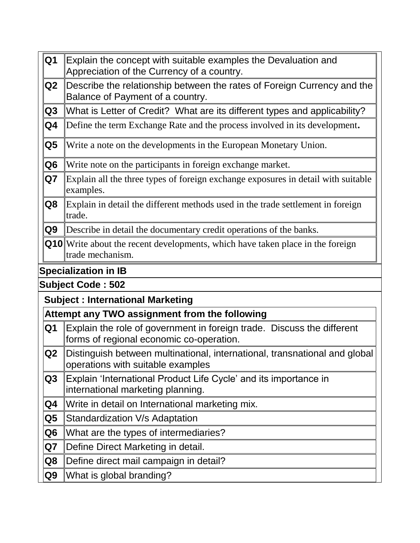| Q <sub>1</sub>          | Explain the concept with suitable examples the Devaluation and<br>Appreciation of the Currency of a country.       |
|-------------------------|--------------------------------------------------------------------------------------------------------------------|
| Q2                      | Describe the relationship between the rates of Foreign Currency and the<br>Balance of Payment of a country.        |
| Q <sub>3</sub>          | What is Letter of Credit? What are its different types and applicability?                                          |
| Q4                      | Define the term Exchange Rate and the process involved in its development.                                         |
| $\overline{\mathbf{Q}}$ | Write a note on the developments in the European Monetary Union.                                                   |
| Q <sub>6</sub>          | Write note on the participants in foreign exchange market.                                                         |
| Q7                      | Explain all the three types of foreign exchange exposures in detail with suitable<br>examples.                     |
| Q8                      | Explain in detail the different methods used in the trade settlement in foreign<br>trade.                          |
| Q9                      | Describe in detail the documentary credit operations of the banks.                                                 |
|                         | <b>Q10</b> Write about the recent developments, which have taken place in the foreign<br>trade mechanism.          |
|                         | <b>Specialization in IB</b>                                                                                        |
|                         | <b>Subject Code: 502</b>                                                                                           |
|                         | <b>Subject: International Marketing</b>                                                                            |
|                         | Attempt any TWO assignment from the following                                                                      |
| Q <sub>1</sub>          | Explain the role of government in foreign trade. Discuss the different<br>forms of regional economic co-operation. |
| Q2                      | Distinguish between multinational, international, transnational and global<br>operations with suitable examples    |
| Q <sub>3</sub>          | Explain 'International Product Life Cycle' and its importance in<br>international marketing planning.              |
| Q <sub>4</sub>          | Write in detail on International marketing mix.                                                                    |
| Q5                      | Standardization V/s Adaptation                                                                                     |
| Q6                      | What are the types of intermediaries?                                                                              |
|                         |                                                                                                                    |
| Q7                      | Define Direct Marketing in detail.                                                                                 |
| Q8                      | Define direct mail campaign in detail?                                                                             |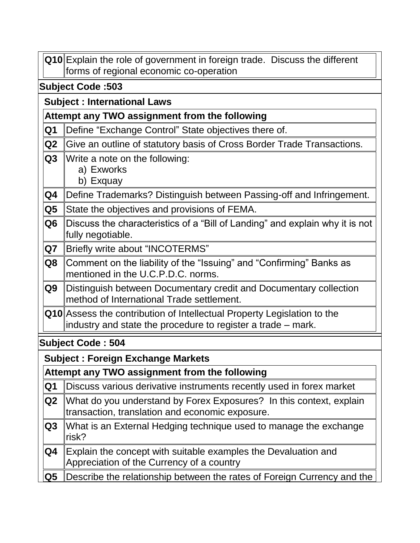|                | Q10 Explain the role of government in foreign trade. Discuss the different<br>forms of regional economic co-operation                   |  |  |  |  |  |
|----------------|-----------------------------------------------------------------------------------------------------------------------------------------|--|--|--|--|--|
|                | <b>Subject Code: 503</b>                                                                                                                |  |  |  |  |  |
|                | <b>Subject: International Laws</b>                                                                                                      |  |  |  |  |  |
|                | Attempt any TWO assignment from the following                                                                                           |  |  |  |  |  |
| Q1             | Define "Exchange Control" State objectives there of.                                                                                    |  |  |  |  |  |
| Q2             | Give an outline of statutory basis of Cross Border Trade Transactions.                                                                  |  |  |  |  |  |
| Q3             | Write a note on the following:<br>a) Exworks<br>b) Exquay                                                                               |  |  |  |  |  |
| Q4             | Define Trademarks? Distinguish between Passing-off and Infringement.                                                                    |  |  |  |  |  |
| Q5             | State the objectives and provisions of FEMA.                                                                                            |  |  |  |  |  |
| Q <sub>6</sub> | Discuss the characteristics of a "Bill of Landing" and explain why it is not<br>fully negotiable.                                       |  |  |  |  |  |
| Q7             | Briefly write about "INCOTERMS"                                                                                                         |  |  |  |  |  |
| Q8             | Comment on the liability of the "Issuing" and "Confirming" Banks as<br>mentioned in the U.C.P.D.C. norms.                               |  |  |  |  |  |
| Q9             | Distinguish between Documentary credit and Documentary collection<br>method of International Trade settlement.                          |  |  |  |  |  |
|                | Q10 Assess the contribution of Intellectual Property Legislation to the<br>industry and state the procedure to register a trade – mark. |  |  |  |  |  |
|                | <b>Subject Code: 504</b>                                                                                                                |  |  |  |  |  |
|                | <b>Subject: Foreign Exchange Markets</b>                                                                                                |  |  |  |  |  |
|                | Attempt any TWO assignment from the following                                                                                           |  |  |  |  |  |
| Q <sub>1</sub> | Discuss various derivative instruments recently used in forex market                                                                    |  |  |  |  |  |
| Q <sub>2</sub> | What do you understand by Forex Exposures? In this context, explain<br>transaction, translation and economic exposure.                  |  |  |  |  |  |
| Q <sub>3</sub> | What is an External Hedging technique used to manage the exchange<br>risk?                                                              |  |  |  |  |  |
| Q4             | Explain the concept with suitable examples the Devaluation and<br>Appreciation of the Currency of a country                             |  |  |  |  |  |
| Q5             | Describe the relationship between the rates of Foreign Currency and the                                                                 |  |  |  |  |  |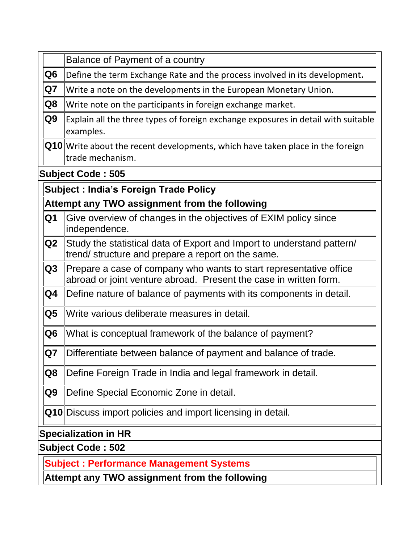|                                                | Balance of Payment of a country                                                                                             |  |  |  |
|------------------------------------------------|-----------------------------------------------------------------------------------------------------------------------------|--|--|--|
| Q <sub>6</sub>                                 | Define the term Exchange Rate and the process involved in its development.                                                  |  |  |  |
| Q7                                             | Write a note on the developments in the European Monetary Union.                                                            |  |  |  |
| Q8                                             | Write note on the participants in foreign exchange market.                                                                  |  |  |  |
| Q9                                             | Explain all the three types of foreign exchange exposures in detail with suitable                                           |  |  |  |
|                                                | examples.                                                                                                                   |  |  |  |
|                                                | <b>Q10</b> Write about the recent developments, which have taken place in the foreign                                       |  |  |  |
|                                                | trade mechanism.                                                                                                            |  |  |  |
|                                                | <b>Subject Code: 505</b>                                                                                                    |  |  |  |
|                                                | <b>Subject: India's Foreign Trade Policy</b>                                                                                |  |  |  |
|                                                | Attempt any TWO assignment from the following                                                                               |  |  |  |
| Q <sub>1</sub>                                 | Give overview of changes in the objectives of EXIM policy since                                                             |  |  |  |
|                                                | independence.                                                                                                               |  |  |  |
| Q2                                             | Study the statistical data of Export and Import to understand pattern/<br>trend/structure and prepare a report on the same. |  |  |  |
| Q3                                             | Prepare a case of company who wants to start representative office                                                          |  |  |  |
|                                                | abroad or joint venture abroad. Present the case in written form.                                                           |  |  |  |
| Q4                                             | Define nature of balance of payments with its components in detail.                                                         |  |  |  |
| $\overline{\mathbf{Q}}$                        | Write various deliberate measures in detail.                                                                                |  |  |  |
| Q <sub>6</sub>                                 | What is conceptual framework of the balance of payment?                                                                     |  |  |  |
| Q7                                             | Differentiate between balance of payment and balance of trade.                                                              |  |  |  |
| Q8                                             | Define Foreign Trade in India and legal framework in detail.                                                                |  |  |  |
| Q <sub>9</sub>                                 | Define Special Economic Zone in detail.                                                                                     |  |  |  |
|                                                | <b>Q10</b> Discuss import policies and import licensing in detail.                                                          |  |  |  |
| <b>Specialization in HR</b>                    |                                                                                                                             |  |  |  |
| <b>Subject Code: 502</b>                       |                                                                                                                             |  |  |  |
| <b>Subject: Performance Management Systems</b> |                                                                                                                             |  |  |  |
|                                                | Attempt any TWO assignment from the following                                                                               |  |  |  |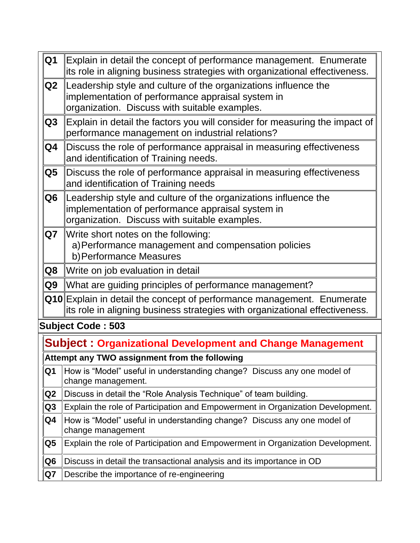| Q <sub>1</sub> | Explain in detail the concept of performance management. Enumerate<br>its role in aligning business strategies with organizational effectiveness.                     |
|----------------|-----------------------------------------------------------------------------------------------------------------------------------------------------------------------|
| Q2             | Leadership style and culture of the organizations influence the<br>implementation of performance appraisal system in<br>organization. Discuss with suitable examples. |
| Q3             | Explain in detail the factors you will consider for measuring the impact of<br>performance management on industrial relations?                                        |
| Q4             | Discuss the role of performance appraisal in measuring effectiveness<br>and identification of Training needs.                                                         |
| Q5             | Discuss the role of performance appraisal in measuring effectiveness<br>and identification of Training needs                                                          |
| Q6             | Leadership style and culture of the organizations influence the<br>implementation of performance appraisal system in<br>organization. Discuss with suitable examples. |
| Q7             | Write short notes on the following:<br>a) Performance management and compensation policies<br>b) Performance Measures                                                 |
| Q8             | Write on job evaluation in detail                                                                                                                                     |
| Q9             | What are guiding principles of performance management?                                                                                                                |
|                | <b>Q10</b> Explain in detail the concept of performance management. Enumerate<br>its role in aligning business strategies with organizational effectiveness.          |
|                | <b>Subject Code: 503</b>                                                                                                                                              |
|                | <b>Subject: Organizational Development and Change Management</b>                                                                                                      |
|                | Attempt any TWO assignment from the following                                                                                                                         |
| Q1             | How is "Model" useful in understanding change? Discuss any one model of<br>change management.                                                                         |
| Q <sub>2</sub> | Discuss in detail the "Role Analysis Technique" of team building.                                                                                                     |
| Q3             | Explain the role of Participation and Empowerment in Organization Development.                                                                                        |
| Q4             | How is "Model" useful in understanding change? Discuss any one model of<br>change management                                                                          |
| Q5             | Explain the role of Participation and Empowerment in Organization Development.                                                                                        |

**Q6** Discuss in detail the transactional analysis and its importance in OD

 $\overline{\phantom{a}}$ 

**Q7** Describe the importance of re-engineering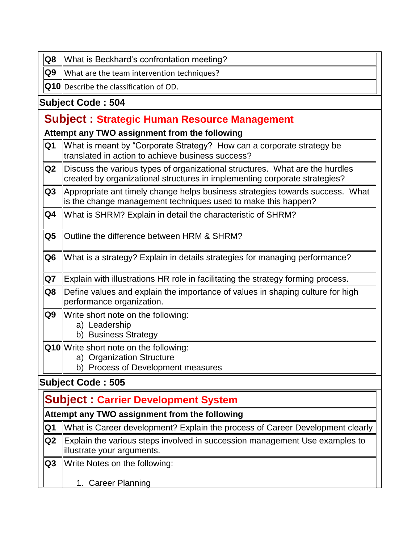**Q8** What is Beckhard's confrontation meeting?

 $\|\mathsf{Q9}\|$  What are the team intervention techniques?

**Q10** Describe the classification of OD.

## **Subject Code : 504**

# **Subject : Strategic Human Resource Management**

**Attempt any TWO assignment from the following**

| Q1             | What is meant by "Corporate Strategy? How can a corporate strategy be<br>translated in action to achieve business success?                                 |  |  |  |  |
|----------------|------------------------------------------------------------------------------------------------------------------------------------------------------------|--|--|--|--|
| Q2             | Discuss the various types of organizational structures. What are the hurdles<br>created by organizational structures in implementing corporate strategies? |  |  |  |  |
| Q <sub>3</sub> | Appropriate ant timely change helps business strategies towards success. What<br>is the change management techniques used to make this happen?             |  |  |  |  |
| Q4             | What is SHRM? Explain in detail the characteristic of SHRM?                                                                                                |  |  |  |  |
| Q5             | Outline the difference between HRM & SHRM?                                                                                                                 |  |  |  |  |
| Q <sub>6</sub> | What is a strategy? Explain in details strategies for managing performance?                                                                                |  |  |  |  |
| Q7             | Explain with illustrations HR role in facilitating the strategy forming process.                                                                           |  |  |  |  |
| Q8             | Define values and explain the importance of values in shaping culture for high<br>performance organization.                                                |  |  |  |  |
| Q9             | Write short note on the following:<br>a) Leadership<br>b) Business Strategy                                                                                |  |  |  |  |
|                | <b>Q10</b> Write short note on the following:<br>a) Organization Structure<br>b) Process of Development measures                                           |  |  |  |  |
|                | <b>Subject Code: 505</b>                                                                                                                                   |  |  |  |  |
|                | <b>Subject: Carrier Development System</b>                                                                                                                 |  |  |  |  |

| Attempt any TWO assignment from the following |  |
|-----------------------------------------------|--|
|-----------------------------------------------|--|

| ∥Q1   What is Career development? Explain the process of Career Development clearly l                                                                                                                                                                                                                                                                                                |
|--------------------------------------------------------------------------------------------------------------------------------------------------------------------------------------------------------------------------------------------------------------------------------------------------------------------------------------------------------------------------------------|
| $\ $ Q2 Explain the various steps involved in succession management Use examples to<br>lillustrate your arguments.                                                                                                                                                                                                                                                                   |
| $\overline{a}$ $\overline{a}$ $\overline{a}$ $\overline{a}$ $\overline{a}$ $\overline{a}$ $\overline{a}$ $\overline{a}$ $\overline{a}$ $\overline{a}$ $\overline{a}$ $\overline{a}$ $\overline{a}$ $\overline{a}$ $\overline{a}$ $\overline{a}$ $\overline{a}$ $\overline{a}$ $\overline{a}$ $\overline{a}$ $\overline{a}$ $\overline{a}$ $\overline{a}$ $\overline{a}$ $\overline{$ |

**Q3** Write Notes on the following:

1. Career Planning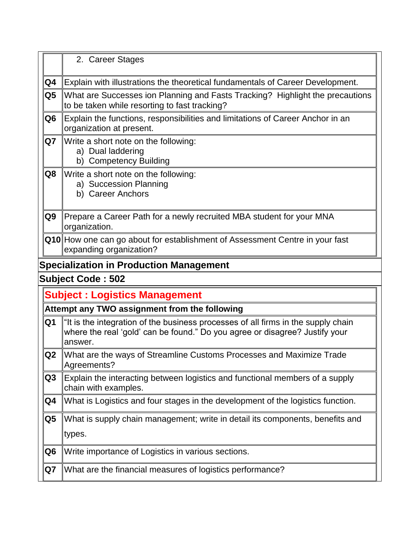|                          | 2. Career Stages                                                                                                                                                            |  |
|--------------------------|-----------------------------------------------------------------------------------------------------------------------------------------------------------------------------|--|
| Q4                       | Explain with illustrations the theoretical fundamentals of Career Development.                                                                                              |  |
| Q5                       | What are Successes ion Planning and Fasts Tracking? Highlight the precautions<br>to be taken while resorting to fast tracking?                                              |  |
| Q6                       | Explain the functions, responsibilities and limitations of Career Anchor in an<br>organization at present.                                                                  |  |
| Q7                       | Write a short note on the following:<br>a) Dual laddering<br>b) Competency Building                                                                                         |  |
| Q8                       | Write a short note on the following:<br>a) Succession Planning<br>b) Career Anchors                                                                                         |  |
| Q9                       | Prepare a Career Path for a newly recruited MBA student for your MNA<br>organization.                                                                                       |  |
|                          | Q10 How one can go about for establishment of Assessment Centre in your fast<br>expanding organization?                                                                     |  |
|                          | <b>Specialization in Production Management</b>                                                                                                                              |  |
| <b>Subject Code: 502</b> |                                                                                                                                                                             |  |
|                          |                                                                                                                                                                             |  |
|                          | <b>Subject: Logistics Management</b>                                                                                                                                        |  |
|                          | Attempt any TWO assignment from the following                                                                                                                               |  |
| Q <sub>1</sub>           | "It is the integration of the business processes of all firms in the supply chain<br>where the real 'gold' can be found." Do you agree or disagree? Justify your<br>answer. |  |
| Q <sub>2</sub>           | What are the ways of Streamline Customs Processes and Maximize Trade<br>Agreements?                                                                                         |  |
| Q <sub>3</sub>           | Explain the interacting between logistics and functional members of a supply<br>chain with examples.                                                                        |  |
| Q4                       | What is Logistics and four stages in the development of the logistics function.                                                                                             |  |
| Q5                       | What is supply chain management; write in detail its components, benefits and                                                                                               |  |
|                          | types.                                                                                                                                                                      |  |
| Q <sub>6</sub>           | Write importance of Logistics in various sections.                                                                                                                          |  |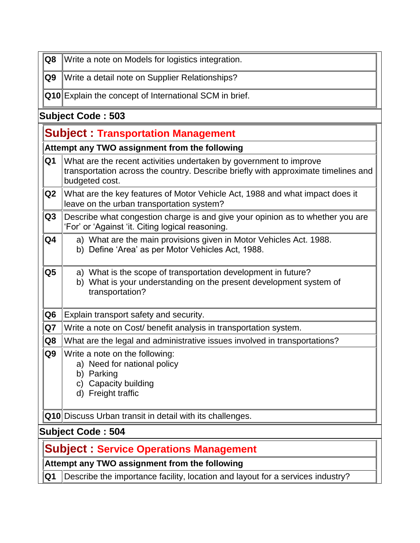| $\overline{Q8}$    | Write a note on Models for logistics integration.             |  |
|--------------------|---------------------------------------------------------------|--|
| Q9                 | Write a detail note on Supplier Relationships?                |  |
|                    | <b>Q10</b> Explain the concept of International SCM in brief. |  |
| Ruhiaat Cada , 502 |                                                               |  |

## **Subject Code : 503**

|                          | <b>Subject: Transportation Management</b>                                                                                                                                  |  |  |  |
|--------------------------|----------------------------------------------------------------------------------------------------------------------------------------------------------------------------|--|--|--|
|                          | Attempt any TWO assignment from the following                                                                                                                              |  |  |  |
| Q1                       | What are the recent activities undertaken by government to improve<br>transportation across the country. Describe briefly with approximate timelines and<br>budgeted cost. |  |  |  |
| Q <sub>2</sub>           | What are the key features of Motor Vehicle Act, 1988 and what impact does it<br>leave on the urban transportation system?                                                  |  |  |  |
| Q <sub>3</sub>           | Describe what congestion charge is and give your opinion as to whether you are<br>'For' or 'Against 'it. Citing logical reasoning.                                         |  |  |  |
| Q4                       | a) What are the main provisions given in Motor Vehicles Act. 1988.<br>b) Define 'Area' as per Motor Vehicles Act, 1988.                                                    |  |  |  |
| Q5                       | a) What is the scope of transportation development in future?<br>b) What is your understanding on the present development system of<br>transportation?                     |  |  |  |
| Q <sub>6</sub>           | Explain transport safety and security.                                                                                                                                     |  |  |  |
| Q7                       | Write a note on Cost/ benefit analysis in transportation system.                                                                                                           |  |  |  |
| Q8                       | What are the legal and administrative issues involved in transportations?                                                                                                  |  |  |  |
| Q9                       | Write a note on the following:<br>a) Need for national policy<br>b) Parking<br>c) Capacity building<br>d) Freight traffic                                                  |  |  |  |
|                          | Q10 Discuss Urban transit in detail with its challenges.                                                                                                                   |  |  |  |
| <b>Subject Code: 504</b> |                                                                                                                                                                            |  |  |  |
|                          | <b>Subject: Service Operations Management</b>                                                                                                                              |  |  |  |
|                          | Attempt any TWO assignment from the following                                                                                                                              |  |  |  |
| Q <sub>1</sub>           | Describe the importance facility, location and layout for a services industry?                                                                                             |  |  |  |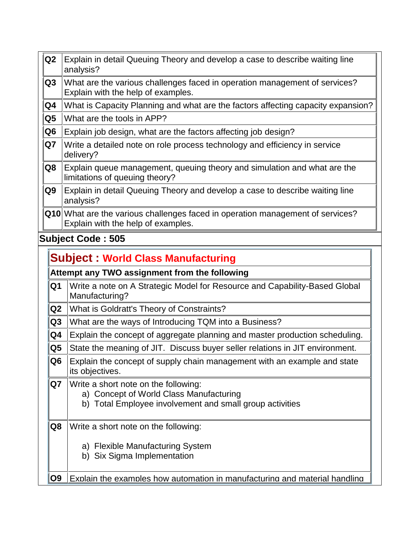- **Q2** Explain in detail Queuing Theory and develop a case to describe waiting line analysis?
- **Q3** What are the various challenges faced in operation management of services? Explain with the help of examples.
- **Q4** What is Capacity Planning and what are the factors affecting capacity expansion?
- **Q5** What are the tools in APP?
- **Q6** Explain job design, what are the factors affecting job design?
- **Q7** Write a detailed note on role process technology and efficiency in service delivery?
- **Q8** Explain queue management, queuing theory and simulation and what are the limitations of queuing theory?
- **Q9** Explain in detail Queuing Theory and develop a case to describe waiting line analysis?
- **Q10** What are the various challenges faced in operation management of services? Explain with the help of examples.

## **Subject Code : 505**

|                                               | <b>Subject: World Class Manufacturing</b>                                                                                                      |  |  |
|-----------------------------------------------|------------------------------------------------------------------------------------------------------------------------------------------------|--|--|
| Attempt any TWO assignment from the following |                                                                                                                                                |  |  |
| Q1                                            | Write a note on A Strategic Model for Resource and Capability-Based Global<br>Manufacturing?                                                   |  |  |
| Q2                                            | What is Goldratt's Theory of Constraints?                                                                                                      |  |  |
| Q3                                            | What are the ways of Introducing TQM into a Business?                                                                                          |  |  |
| Q4                                            | Explain the concept of aggregate planning and master production scheduling.                                                                    |  |  |
| Q <sub>5</sub>                                | State the meaning of JIT. Discuss buyer seller relations in JIT environment.                                                                   |  |  |
| Q <sub>6</sub>                                | Explain the concept of supply chain management with an example and state<br>its objectives.                                                    |  |  |
| Q7                                            | Write a short note on the following:<br>a) Concept of World Class Manufacturing<br>Total Employee involvement and small group activities<br>b) |  |  |
| Q8                                            | Write a short note on the following:<br>a) Flexible Manufacturing System<br>b) Six Sigma Implementation                                        |  |  |
| Q <sub>9</sub>                                | Explain the examples how automation in manufacturing and material handling                                                                     |  |  |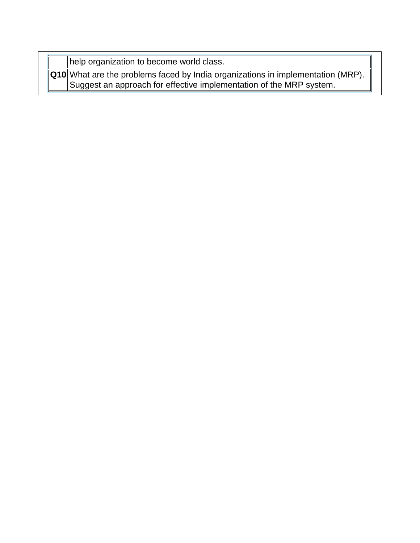help organization to become world class.

**Q10** What are the problems faced by India organizations in implementation (MRP). Suggest an approach for effective implementation of the MRP system.